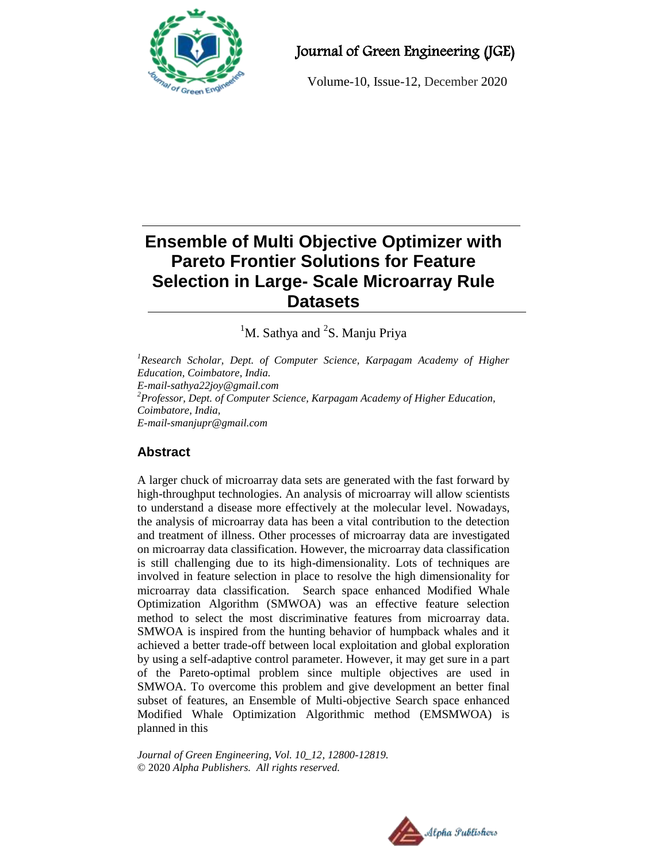

# Journal of Green Engineering (JGE)

Volume-10, Issue-12, December 2020

# **Ensemble of Multi Objective Optimizer with Pareto Frontier Solutions for Feature Selection in Large- Scale Microarray Rule Datasets**

 ${}^{1}$ M. Sathya and  ${}^{2}$ S. Manju Priya

*<sup>1</sup>Research Scholar, Dept. of Computer Science, Karpagam Academy of Higher Education, Coimbatore, India. E-mail-sathya22joy@gmail.com <sup>2</sup>Professor, Dept. of Computer Science, Karpagam Academy of Higher Education, Coimbatore, India, E-mail-smanjupr@gmail.com*

## **Abstract**

A larger chuck of microarray data sets are generated with the fast forward by high-throughput technologies. An analysis of microarray will allow scientists to understand a disease more effectively at the molecular level. Nowadays, the analysis of microarray data has been a vital contribution to the detection and treatment of illness. Other processes of microarray data are investigated on microarray data classification. However, the microarray data classification is still challenging due to its high-dimensionality. Lots of techniques are involved in feature selection in place to resolve the high dimensionality for microarray data classification. Search space enhanced Modified Whale Optimization Algorithm (SMWOA) was an effective feature selection method to select the most discriminative features from microarray data. SMWOA is inspired from the hunting behavior of humpback whales and it achieved a better trade-off between local exploitation and global exploration by using a self-adaptive control parameter. However, it may get sure in a part of the Pareto-optimal problem since multiple objectives are used in SMWOA. To overcome this problem and give development an better final subset of features, an Ensemble of Multi-objective Search space enhanced Modified Whale Optimization Algorithmic method (EMSMWOA) is planned in this

*Journal of Green Engineering, Vol. 10\_12, 12800-12819.* © 2020 *Alpha Publishers. All rights reserved.*

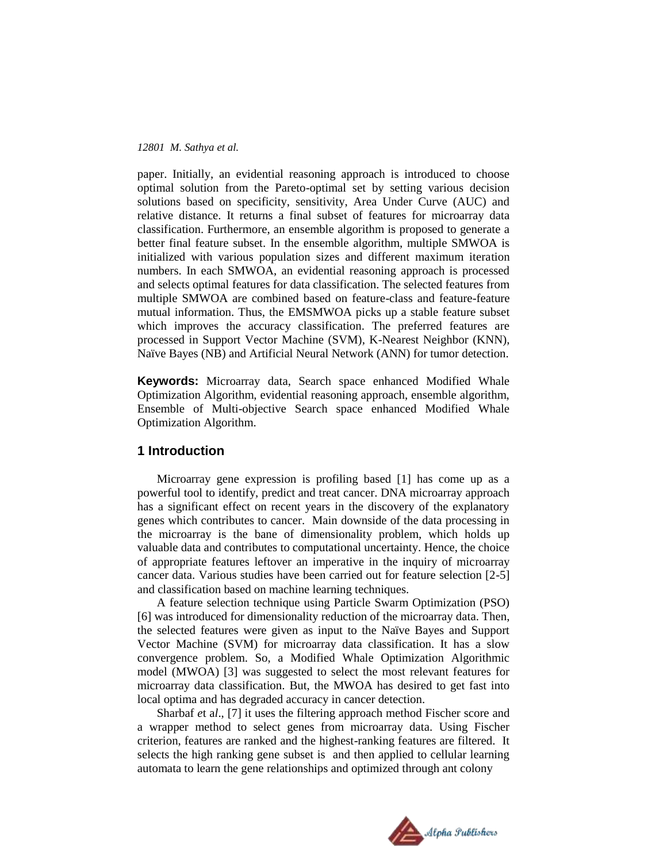paper. Initially, an evidential reasoning approach is introduced to choose optimal solution from the Pareto-optimal set by setting various decision solutions based on specificity, sensitivity, Area Under Curve (AUC) and relative distance. It returns a final subset of features for microarray data classification. Furthermore, an ensemble algorithm is proposed to generate a better final feature subset. In the ensemble algorithm, multiple SMWOA is initialized with various population sizes and different maximum iteration numbers. In each SMWOA, an evidential reasoning approach is processed and selects optimal features for data classification. The selected features from multiple SMWOA are combined based on feature-class and feature-feature mutual information. Thus, the EMSMWOA picks up a stable feature subset which improves the accuracy classification. The preferred features are processed in Support Vector Machine (SVM), K-Nearest Neighbor (KNN), Naïve Bayes (NB) and Artificial Neural Network (ANN) for tumor detection.

**Keywords:** Microarray data, Search space enhanced Modified Whale Optimization Algorithm, evidential reasoning approach, ensemble algorithm, Ensemble of Multi-objective Search space enhanced Modified Whale Optimization Algorithm.

### **1 Introduction**

Microarray gene expression is profiling based [1] has come up as a powerful tool to identify, predict and treat cancer. DNA microarray approach has a significant effect on recent years in the discovery of the explanatory genes which contributes to cancer. Main downside of the data processing in the microarray is the bane of dimensionality problem, which holds up valuable data and contributes to computational uncertainty. Hence, the choice of appropriate features leftover an imperative in the inquiry of microarray cancer data. Various studies have been carried out for feature selection [2-5] and classification based on machine learning techniques.

A feature selection technique using Particle Swarm Optimization (PSO) [6] was introduced for dimensionality reduction of the microarray data. Then, the selected features were given as input to the Naïve Bayes and Support Vector Machine (SVM) for microarray data classification. It has a slow convergence problem. So, a Modified Whale Optimization Algorithmic model (MWOA) [3] was suggested to select the most relevant features for microarray data classification. But, the MWOA has desired to get fast into local optima and has degraded accuracy in cancer detection.

Sharbaf *e*t a*l*., [7] it uses the filtering approach method Fischer score and a wrapper method to select genes from microarray data. Using Fischer criterion, features are ranked and the highest-ranking features are filtered. It selects the high ranking gene subset is and then applied to cellular learning automata to learn the gene relationships and optimized through ant colony

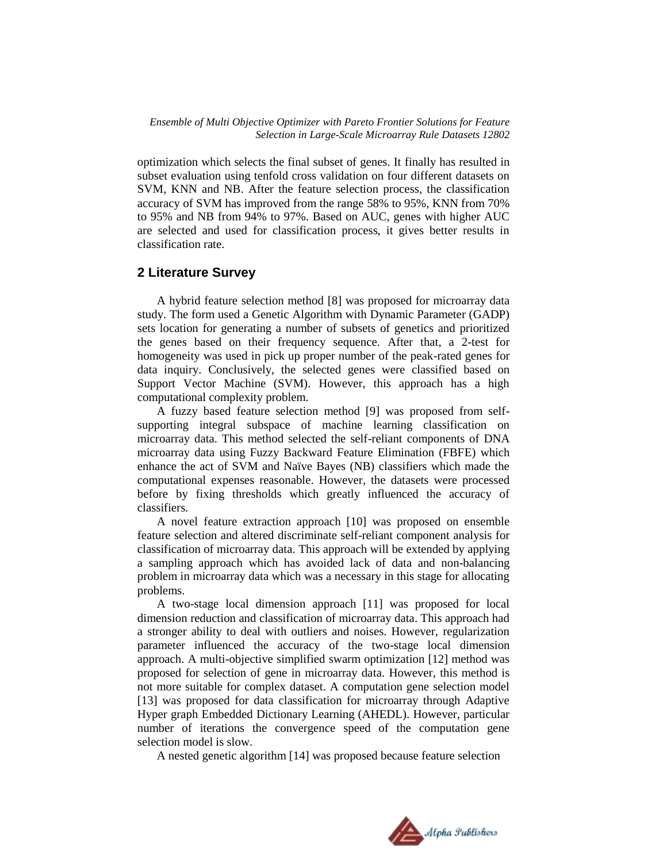optimization which selects the final subset of genes. It finally has resulted in subset evaluation using tenfold cross validation on four different datasets on SVM, KNN and NB. After the feature selection process, the classification accuracy of SVM has improved from the range 58% to 95%, KNN from 70% to 95% and NB from 94% to 97%. Based on AUC, genes with higher AUC are selected and used for classification process, it gives better results in classification rate.

## **2 Literature Survey**

A hybrid feature selection method [8] was proposed for microarray data study. The form used a Genetic Algorithm with Dynamic Parameter (GADP) sets location for generating a number of subsets of genetics and prioritized the genes based on their frequency sequence. After that, a 2-test for homogeneity was used in pick up proper number of the peak-rated genes for data inquiry. Conclusively, the selected genes were classified based on Support Vector Machine (SVM). However, this approach has a high computational complexity problem.

A fuzzy based feature selection method [9] was proposed from selfsupporting integral subspace of machine learning classification on microarray data. This method selected the self-reliant components of DNA microarray data using Fuzzy Backward Feature Elimination (FBFE) which enhance the act of SVM and Naïve Bayes (NB) classifiers which made the computational expenses reasonable. However, the datasets were processed before by fixing thresholds which greatly influenced the accuracy of classifiers.

A novel feature extraction approach [10] was proposed on ensemble feature selection and altered discriminate self-reliant component analysis for classification of microarray data. This approach will be extended by applying a sampling approach which has avoided lack of data and non-balancing problem in microarray data which was a necessary in this stage for allocating problems.

A two-stage local dimension approach [11] was proposed for local dimension reduction and classification of microarray data. This approach had a stronger ability to deal with outliers and noises. However, regularization parameter influenced the accuracy of the two-stage local dimension approach. A multi-objective simplified swarm optimization [12] method was proposed for selection of gene in microarray data. However, this method is not more suitable for complex dataset. A computation gene selection model [13] was proposed for data classification for microarray through Adaptive Hyper graph Embedded Dictionary Learning (AHEDL). However, particular number of iterations the convergence speed of the computation gene selection model is slow.

A nested genetic algorithm [14] was proposed because feature selection

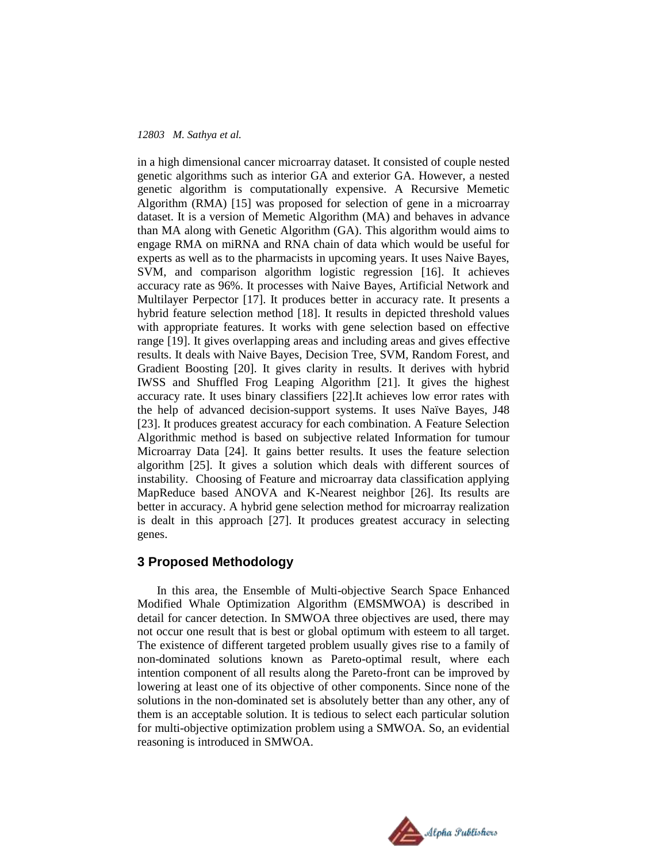in a high dimensional cancer microarray dataset. It consisted of couple nested genetic algorithms such as interior GA and exterior GA. However, a nested genetic algorithm is computationally expensive. A Recursive Memetic Algorithm (RMA) [15] was proposed for selection of gene in a microarray dataset. It is a version of Memetic Algorithm (MA) and behaves in advance than MA along with Genetic Algorithm (GA). This algorithm would aims to engage RMA on miRNA and RNA chain of data which would be useful for experts as well as to the pharmacists in upcoming years. It uses Naive Bayes, SVM, and comparison algorithm logistic regression [16]. It achieves accuracy rate as 96%. It processes with Naive Bayes, Artificial Network and Multilayer Perpector [17]. It produces better in accuracy rate. It presents a hybrid feature selection method [18]. It results in depicted threshold values with appropriate features. It works with gene selection based on effective range [19]. It gives overlapping areas and including areas and gives effective results. It deals with Naive Bayes, Decision Tree, SVM, Random Forest, and Gradient Boosting [20]. It gives clarity in results. It derives with hybrid IWSS and Shuffled Frog Leaping Algorithm [21]. It gives the highest accuracy rate. It uses binary classifiers [22].It achieves low error rates with the help of advanced decision-support systems. It uses Naïve Bayes, J48 [23]. It produces greatest accuracy for each combination. A Feature Selection Algorithmic method is based on subjective related Information for tumour Microarray Data [24]. It gains better results. It uses the feature selection algorithm [25]. It gives a solution which deals with different sources of instability. Choosing of Feature and microarray data classification applying MapReduce based ANOVA and K-Nearest neighbor [26]. Its results are better in accuracy. A hybrid gene selection method for microarray realization is dealt in this approach [27]. It produces greatest accuracy in selecting genes.

## **3 Proposed Methodology**

In this area, the Ensemble of Multi-objective Search Space Enhanced Modified Whale Optimization Algorithm (EMSMWOA) is described in detail for cancer detection. In SMWOA three objectives are used, there may not occur one result that is best or global optimum with esteem to all target. The existence of different targeted problem usually gives rise to a family of non-dominated solutions known as Pareto-optimal result, where each intention component of all results along the Pareto-front can be improved by lowering at least one of its objective of other components. Since none of the solutions in the non-dominated set is absolutely better than any other, any of them is an acceptable solution. It is tedious to select each particular solution for multi-objective optimization problem using a SMWOA. So, an evidential reasoning is introduced in SMWOA.

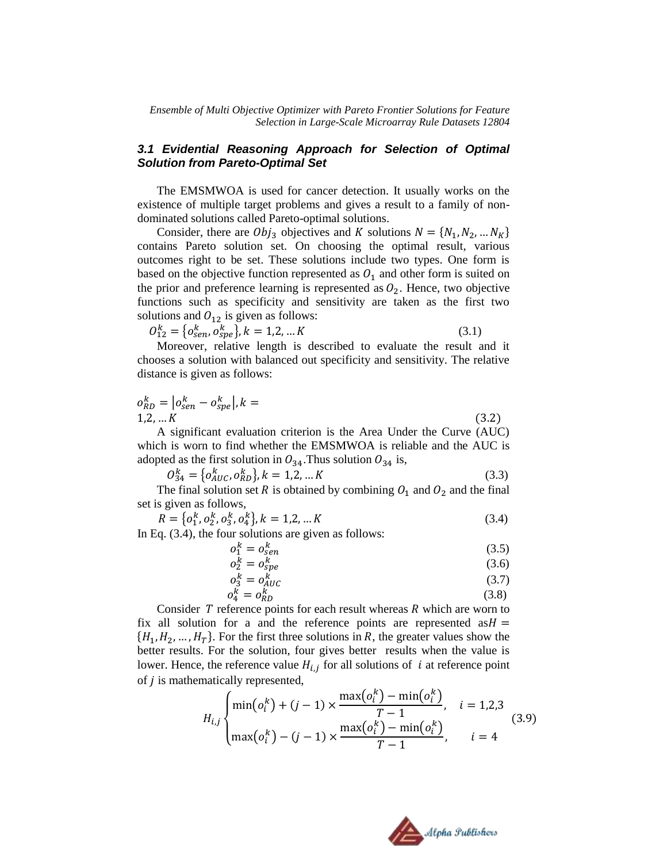## *3.1 Evidential Reasoning Approach for Selection of Optimal Solution from Pareto-Optimal Set*

The EMSMWOA is used for cancer detection. It usually works on the existence of multiple target problems and gives a result to a family of nondominated solutions called Pareto-optimal solutions.

Consider, there are  $Obj_3$  objectives and K solutions  $N = \{N_1, N_2, ... N_K\}$ contains Pareto solution set. On choosing the optimal result, various outcomes right to be set. These solutions include two types. One form is based on the objective function represented as  $O_1$  and other form is suited on the prior and preference learning is represented as  $O_2$ . Hence, two objective functions such as specificity and sensitivity are taken as the first two solutions and  $O_{12}$  is given as follows:

$$
O_{12}^k = \{o_{sen}^k, o_{spe}^k\}, k = 1, 2, \dots K
$$
\n(3.1)

Moreover, relative length is described to evaluate the result and it chooses a solution with balanced out specificity and sensitivity. The relative distance is given as follows:

$$
o_{RD}^k = |o_{sen}^k - o_{spe}^k|, k = 1, 2, \dots K
$$
\n(3.2)

A significant evaluation criterion is the Area Under the Curve (AUC) which is worn to find whether the EMSMWOA is reliable and the AUC is adopted as the first solution in  $O_{34}$ . Thus solution  $O_{34}$  is,

$$
O_{34}^k = \{o_{AUC}^k, o_{RD}^k\}, k = 1, 2, \dots K
$$
\n(3.3)

The final solution set R is obtained by combining  $O_1$  and  $O_2$  and the final set is given as follows,

$$
R = \{o_1^k, o_2^k, o_3^k, o_4^k\}, k = 1, 2, \dots K
$$
  
In Eq. (3.4), the four solutions are given as follows:

 $k = \alpha^k$  $(3.5)$ 

$$
o_2^k = o_{\text{SPE}}^k \tag{3.6}
$$

$$
o_3^k = o_{AUC}^k \tag{3.7}
$$

$$
o_4^k = o_{RD}^k \tag{3.8}
$$

Consider  $T$  reference points for each result whereas  $R$  which are worn to fix all solution for a and the reference points are represented as  $H =$  $\{H_1, H_2, \ldots, H_T\}$ . For the first three solutions in R, the greater values show the better results. For the solution, four gives better results when the value is lower. Hence, the reference value  $H_{i,i}$  for all solutions of *i* at reference point of *j* is mathematically represented,  $\mathbb{R}^2$  $\sim$   $\sim$   $\sim$ 

$$
H_{i,j}\begin{cases} \min(o_i^k) + (j-1) \times \frac{\max(o_i^k) - \min(o_i^k)}{T-1}, & i = 1,2,3\\ \max(o_i^k) - (j-1) \times \frac{\max(o_i^k) - \min(o_i^k)}{T-1}, & i = 4 \end{cases}
$$
(3.9)

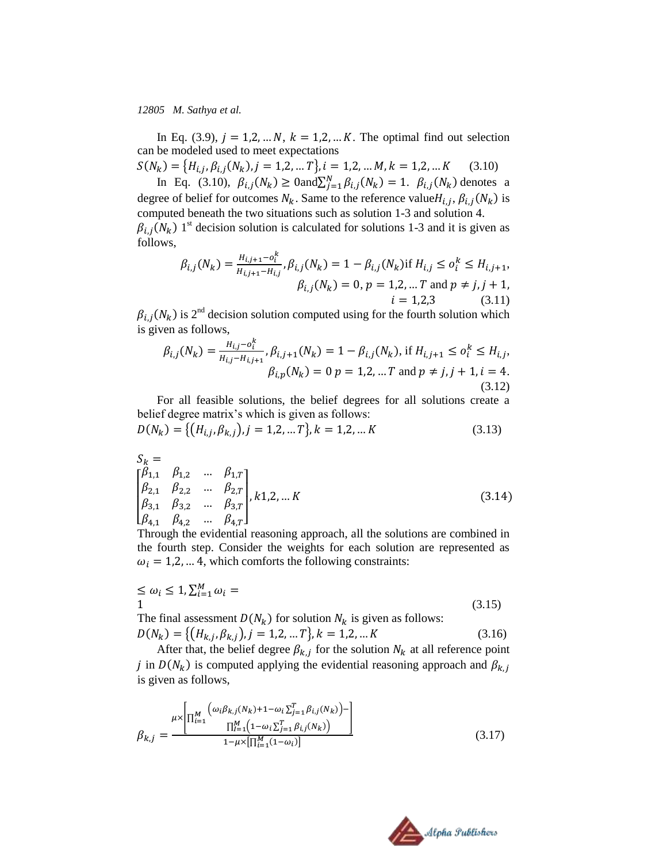follows,

In Eq. (3.9),  $j = 1, 2, ... N$ ,  $k = 1, 2, ... K$ . The optimal find out selection can be modeled used to meet expectations

 $S(N_k) = {H_{i,i}, \beta_{i,i}(N_k), j = 1,2,...T}, i = 1,2,...M, k = 1,2,...K$  (3.10)

In Eq. (3.10),  $\beta_{i,j}(N_k) \geq 0$  and  $\sum_{j=1}^{N} \beta_{i,j}(N_k) = 1$ .  $\beta_{i,j}(N_k)$  denotes a degree of belief for outcomes  $N_k$ . Same to the reference value  $H_{i,j}$ ,  $\beta_{i,j}(N_k)$  is computed beneath the two situations such as solution 1-3 and solution 4.  $\beta_{i,i}(N_k)$  1<sup>st</sup> decision solution is calculated for solutions 1-3 and it is given as

$$
\beta_{i,j}(N_k) = \frac{H_{i,j+1} - o_i^k}{H_{i,j+1} - H_{i,j}}, \beta_{i,j}(N_k) = 1 - \beta_{i,j}(N_k) \text{ if } H_{i,j} \le o_i^k \le H_{i,j+1},
$$
  

$$
\beta_{i,j}(N_k) = 0, p = 1,2, \dots T \text{ and } p \ne j, j+1,
$$
  

$$
i = 1,2,3
$$
 (3.11)

 $\beta_{i,i}(N_k)$  is 2<sup>nd</sup> decision solution computed using for the fourth solution which is given as follows,

$$
\beta_{i,j}(N_k) = \frac{H_{i,j} - o_i^k}{H_{i,j} - H_{i,j+1}}, \beta_{i,j+1}(N_k) = 1 - \beta_{i,j}(N_k), \text{ if } H_{i,j+1} \le o_i^k \le H_{i,j},
$$
  

$$
\beta_{i,p}(N_k) = 0 \ p = 1,2, \dots T \text{ and } p \ne j, j+1, i = 4.
$$
  
(3.12)

For all feasible solutions, the belief degrees for all solutions create a belief degree matrix's which is given as follows:

$$
D(N_k) = \{ (H_{i,j}, \beta_{k,j}), j = 1, 2, \dots T \}, k = 1, 2, \dots K
$$
\n(3.13)

$$
S_k = \begin{bmatrix} \beta_{1,1} & \beta_{1,2} & \dots & \beta_{1,T} \\ \beta_{2,1} & \beta_{2,2} & \dots & \beta_{2,T} \\ \beta_{3,1} & \beta_{3,2} & \dots & \beta_{3,T} \\ \beta_{4,1} & \beta_{4,2} & \dots & \beta_{4,T} \end{bmatrix}, k1,2, \dots K
$$
\n(3.14)

Through the evidential reasoning approach, all the solutions are combined in the fourth step. Consider the weights for each solution are represented as  $\omega_i = 1, 2, \dots 4$ , which comforts the following constraints:

$$
\leq \omega_i \leq 1, \sum_{i=1}^{M} \omega_i =
$$
\n(3.15)

The final assessment  $D(N_k)$  for solution  $N_k$  is given as follows:  $D(N_k) = \{ (H_{k,i}, \beta_{k,i}), j = 1, 2, ... T \}, k = 1, 2, ... K$  (3.16)

After that, the belief degree  $\beta_{k,i}$  for the solution  $N_k$  at all reference point j in  $D(N_k)$  is computed applying the evidential reasoning approach and is given as follows,

$$
\beta_{k,j} = \frac{\mu \times \left[ \prod_{i=1}^{M} \left( \omega_i \beta_{k,j}(N_k) + 1 - \omega_i \sum_{j=1}^{T} \beta_{i,j}(N_k) \right) - \right]}{ \prod_{i=1}^{M} \left( 1 - \omega_i \sum_{j=1}^{T} \beta_{i,j}(N_k) \right)} \right] \tag{3.17}
$$

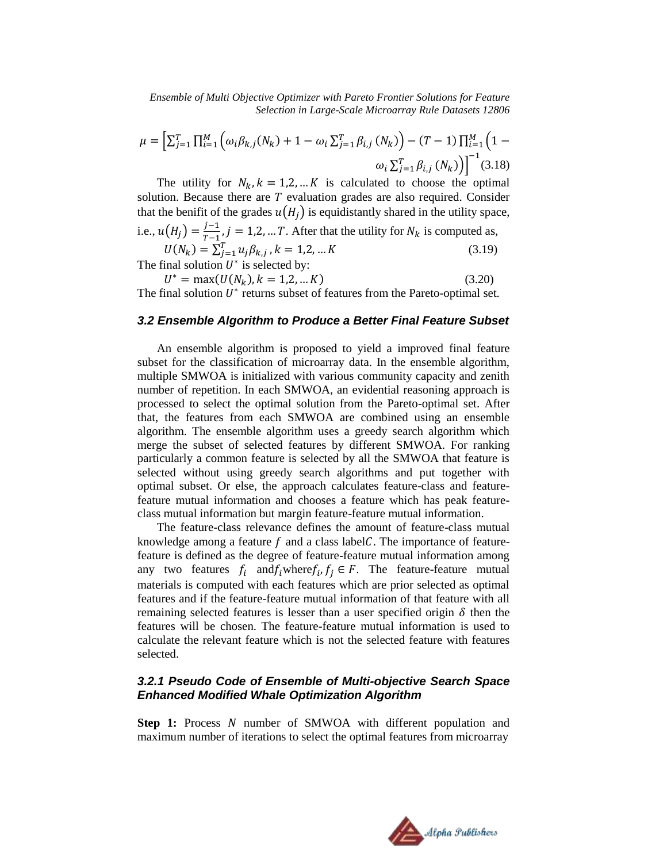$$
\mu = \left[ \sum_{j=1}^{T} \prod_{i=1}^{M} \left( \omega_i \beta_{k,j}(N_k) + 1 - \omega_i \sum_{j=1}^{T} \beta_{i,j}(N_k) \right) - (T - 1) \prod_{i=1}^{M} \left( 1 - \omega_i \sum_{j=1}^{T} \beta_{i,j}(N_k) \right) \right]^{-1} (3.18)
$$

The utility for  $N_k$ ,  $k = 1, 2, \dots K$  is calculated to choose the optimal solution. Because there are  $T$  evaluation grades are also required. Consider that the benifit of the grades  $u(H_i)$  is equidistantly shared in the utility space, i.e.,  $u(H_i) = \frac{j}{n}$  $\frac{f-1}{f-1}$ ,  $j = 1, 2, ... T$ . After that the utility for  $N_k$  is computed as,

 $D = \sum_{j=1}^{T} u_j \beta_{k,j}, k = 1,2,...K$  (3.19) The final solution  $U^*$  is selected by:

 $* = \max(U(N_k), k = 1, 2, ... K)$  (3.20)

The final solution  $U^*$  returns subset of features from the Pareto-optimal set.

### *3.2 Ensemble Algorithm to Produce a Better Final Feature Subset*

An ensemble algorithm is proposed to yield a improved final feature subset for the classification of microarray data. In the ensemble algorithm, multiple SMWOA is initialized with various community capacity and zenith number of repetition. In each SMWOA, an evidential reasoning approach is processed to select the optimal solution from the Pareto-optimal set. After that, the features from each SMWOA are combined using an ensemble algorithm. The ensemble algorithm uses a greedy search algorithm which merge the subset of selected features by different SMWOA. For ranking particularly a common feature is selected by all the SMWOA that feature is selected without using greedy search algorithms and put together with optimal subset. Or else, the approach calculates feature-class and featurefeature mutual information and chooses a feature which has peak featureclass mutual information but margin feature-feature mutual information.

The feature-class relevance defines the amount of feature-class mutual knowledge among a feature  $f$  and a class label  $C$ . The importance of featurefeature is defined as the degree of feature-feature mutual information among any two features  $f_i$  and  $f_i$  where  $f_i$ ,  $f_i \in F$ . The feature-feature mutual materials is computed with each features which are prior selected as optimal features and if the feature-feature mutual information of that feature with all remaining selected features is lesser than a user specified origin  $\delta$  then the features will be chosen. The feature-feature mutual information is used to calculate the relevant feature which is not the selected feature with features selected.

## *3.2.1 Pseudo Code of Ensemble of Multi-objective Search Space Enhanced Modified Whale Optimization Algorithm*

**Step 1:** Process N number of SMWOA with different population and maximum number of iterations to select the optimal features from microarray

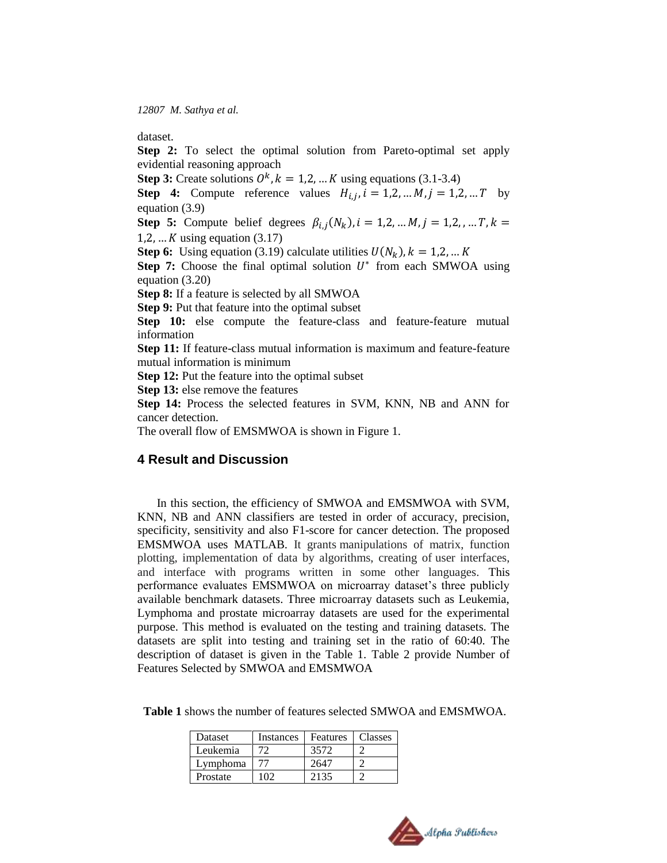dataset.

**Step 2:** To select the optimal solution from Pareto-optimal set apply evidential reasoning approach

**Step 3:** Create solutions  $0^k$ ,  $k = 1, 2, ... K$  using equations (3.1-3.4)

**Step 4:** Compute reference values  $H_{i,j}$ ,  $i = 1,2,...M$ ,  $j = 1,2,...T$  by equation (3.9)

**Step 5:** Compute belief degrees  $\beta_{i,j}(N_k)$ 1,2, ...  $K$  using equation (3.17)

**Step 6:** Using equation (3.19) calculate utilities  $U(N_k)$ 

**Step 7:** Choose the final optimal solution  $U^*$  from each SMWOA using equation (3.20)

**Step 8:** If a feature is selected by all SMWOA

**Step 9:** Put that feature into the optimal subset

**Step 10:** else compute the feature-class and feature-feature mutual information

**Step 11:** If feature-class mutual information is maximum and feature-feature mutual information is minimum

**Step 12:** Put the feature into the optimal subset

**Step 13:** else remove the features

**Step 14:** Process the selected features in SVM, KNN, NB and ANN for cancer detection.

The overall flow of EMSMWOA is shown in Figure 1.

#### **4 Result and Discussion**

In this section, the efficiency of SMWOA and EMSMWOA with SVM, KNN, NB and ANN classifiers are tested in order of accuracy, precision, specificity, sensitivity and also F1-score for cancer detection. The proposed EMSMWOA uses MATLAB. It grants manipulations of matrix, function plotting, implementation of data by algorithms, creating of user interfaces, and interface with programs written in some other languages. This performance evaluates EMSMWOA on microarray dataset's three publicly available benchmark datasets. Three microarray datasets such as Leukemia, Lymphoma and prostate microarray datasets are used for the experimental purpose. This method is evaluated on the testing and training datasets. The datasets are split into testing and training set in the ratio of 60:40. The description of dataset is given in the Table 1. Table 2 provide Number of Features Selected by SMWOA and EMSMWOA

| Dataset  | Instances | <b>Features</b> | <b>Classes</b> |
|----------|-----------|-----------------|----------------|
| Leukemia | 72        | 3572            |                |
| Lymphoma | 77        | 2647            |                |
| Prostate |           | 2135            |                |

**Table 1** shows the number of features selected SMWOA and EMSMWOA.

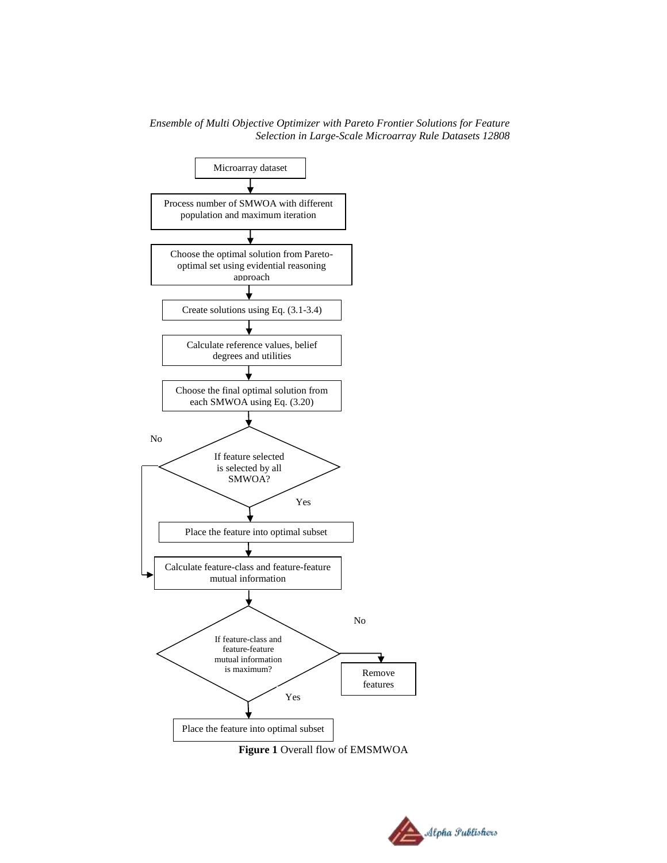

**Figure 1** Overall flow of EMSMWOA

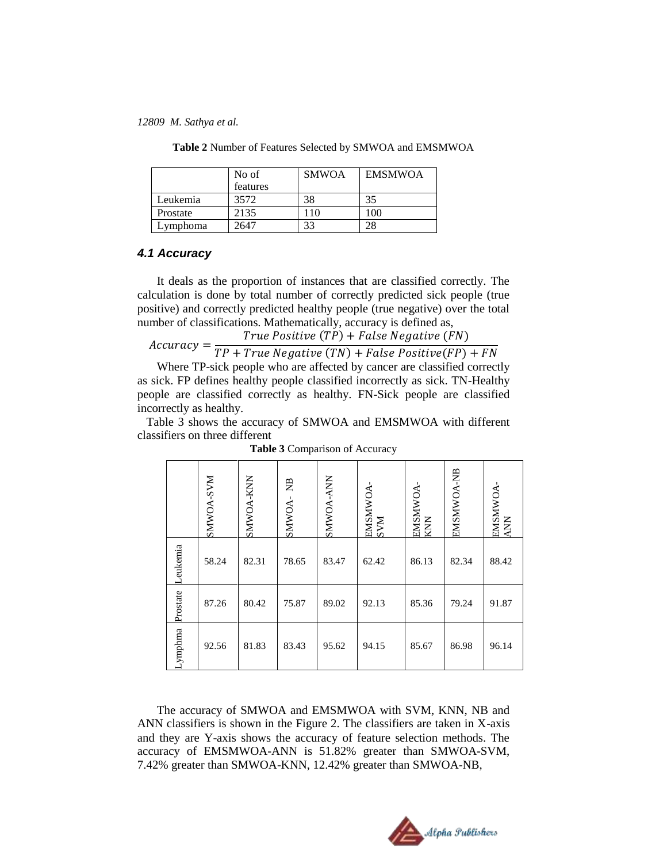|          | No of<br>features | <b>SMWOA</b> | <b>EMSMWOA</b> |
|----------|-------------------|--------------|----------------|
| Leukemia | 3572              | 38           | 35             |
| Prostate | 2135              | 110          | 100            |
| Lymphoma | 2647              | 33           | 28             |

**Table 2** Number of Features Selected by SMWOA and EMSMWOA

#### *4.1 Accuracy*

It deals as the proportion of instances that are classified correctly. The calculation is done by total number of correctly predicted sick people (true positive) and correctly predicted healthy people (true negative) over the total number of classifications. Mathematically, accuracy is defined as,

True Positive  $(TP)$  + False Negative (FN)

 $Accuracy = \frac{1}{T}$ 

Where TP-sick people who are affected by cancer are classified correctly as sick. FP defines healthy people classified incorrectly as sick. TN-Healthy people are classified correctly as healthy. FN-Sick people are classified incorrectly as healthy.

Table 3 shows the accuracy of SMWOA and EMSMWOA with different classifiers on three different

|                                                                                                                                                                                                                                                                                                                                                  |          | <b>NAS-YOWNS</b> | SMWOA-KNN | ₿<br>SMWOA- | <b>SMWOA-ANN</b> | EMSMWOA-<br><b>NNS</b> | -WOMNISME<br>KNN | <b>ANSMANDA-NB</b> | EMSMWOA-<br>ANN |
|--------------------------------------------------------------------------------------------------------------------------------------------------------------------------------------------------------------------------------------------------------------------------------------------------------------------------------------------------|----------|------------------|-----------|-------------|------------------|------------------------|------------------|--------------------|-----------------|
|                                                                                                                                                                                                                                                                                                                                                  | eukemia  | 58.24            | 82.31     | 78.65       | 83.47            | 62.42                  | 86.13            | 82.34              | 88.42           |
|                                                                                                                                                                                                                                                                                                                                                  | Prostate | 87.26            | 80.42     | 75.87       | 89.02            | 92.13                  | 85.36            | 79.24              | 91.87           |
|                                                                                                                                                                                                                                                                                                                                                  | ymphma.  | 92.56            | 81.83     | 83.43       | 95.62            | 94.15                  | 85.67            | 86.98              | 96.14           |
| The accuracy of SMWOA and EMSMWOA with SVM, KNN, NB and<br>ANN classifiers is shown in the Figure 2. The classifiers are taken in X-axis<br>and they are Y-axis shows the accuracy of feature selection methods. The<br>accuracy of EMSMWOA-ANN is 51.82% greater than SMWOA-SVM,<br>7.42% greater than SMWOA-KNN, 12.42% greater than SMWOA-NB, |          |                  |           |             |                  |                        |                  |                    |                 |

**Table 3** Comparison of Accuracy

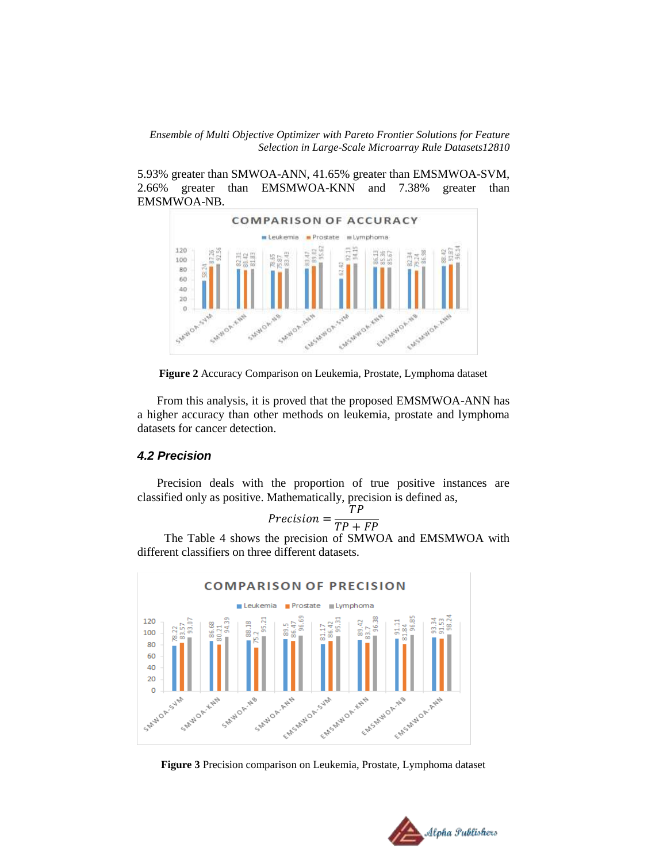5.93% greater than SMWOA-ANN, 41.65% greater than EMSMWOA-SVM, 2.66% greater than EMSMWOA-KNN and 7.38% greater than EMSMWOA-NB.



**Figure 2** Accuracy Comparison on Leukemia, Prostate, Lymphoma dataset

From this analysis, it is proved that the proposed EMSMWOA-ANN has a higher accuracy than other methods on leukemia, prostate and lymphoma datasets for cancer detection.

## *4.2 Precision*

Precision deals with the proportion of true positive instances are classified only as positive. Mathematically, precision is defined as,

$$
Precision = \frac{TP}{TP + FP}
$$

 The Table 4 shows the precision of SMWOA and EMSMWOA with different classifiers on three different datasets.



**Figure 3** Precision comparison on Leukemia, Prostate, Lymphoma dataset

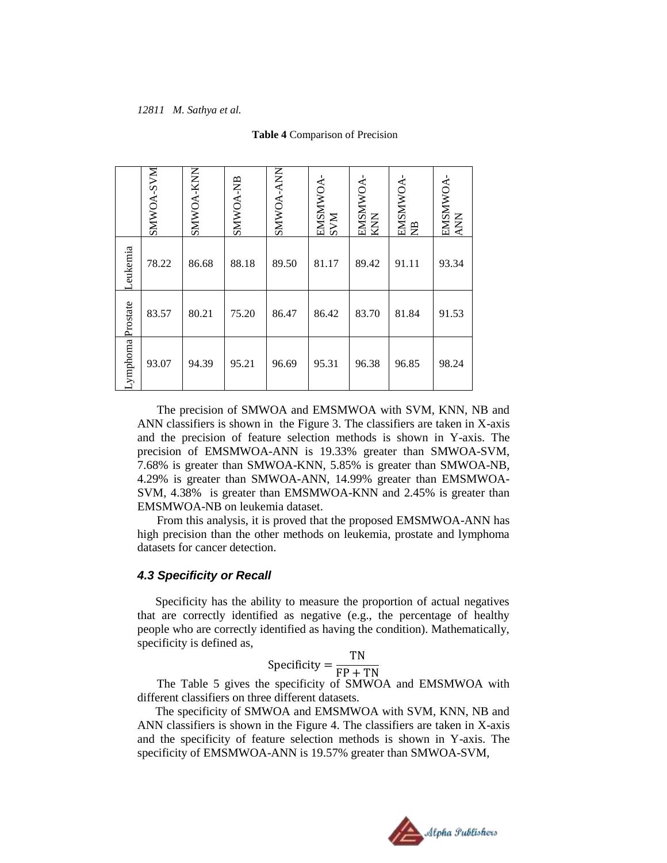|                                                                                                                                                                                                                                                                                                                                        |                                                                                                                                                                                                                                                                                                                                                                                                                                                                                                                                                                                                                                    | <b>NAS-YONMIS</b> | SMWOA-KNN | <b>SMWOA-NB</b> | SMWOA-ANN | EMSMWOA-<br>SVM | EMSMWOA-<br>KNN | EMSMWOA-<br>NB | EMSMWOA-<br>ANN |  |
|----------------------------------------------------------------------------------------------------------------------------------------------------------------------------------------------------------------------------------------------------------------------------------------------------------------------------------------|------------------------------------------------------------------------------------------------------------------------------------------------------------------------------------------------------------------------------------------------------------------------------------------------------------------------------------------------------------------------------------------------------------------------------------------------------------------------------------------------------------------------------------------------------------------------------------------------------------------------------------|-------------------|-----------|-----------------|-----------|-----------------|-----------------|----------------|-----------------|--|
|                                                                                                                                                                                                                                                                                                                                        | Leukemia                                                                                                                                                                                                                                                                                                                                                                                                                                                                                                                                                                                                                           | 78.22             | 86.68     | 88.18           | 89.50     | 81.17           | 89.42           | 91.11          | 93.34           |  |
|                                                                                                                                                                                                                                                                                                                                        |                                                                                                                                                                                                                                                                                                                                                                                                                                                                                                                                                                                                                                    | 83.57             | 80.21     | 75.20           | 86.47     | 86.42           | 83.70           | 81.84          | 91.53           |  |
|                                                                                                                                                                                                                                                                                                                                        | Lymphoma Prostate                                                                                                                                                                                                                                                                                                                                                                                                                                                                                                                                                                                                                  | 93.07             | 94.39     | 95.21           | 96.69     | 95.31           | 96.38           | 96.85          | 98.24           |  |
|                                                                                                                                                                                                                                                                                                                                        | ANN classifiers is shown in the Figure 3. The classifiers are taken in $X$ -a<br>and the precision of feature selection methods is shown in Y-axis.<br>precision of EMSMWOA-ANN is 19.33% greater than SMWOA-SV<br>7.68% is greater than SMWOA-KNN, 5.85% is greater than SMWOA-l<br>4.29% is greater than SMWOA-ANN, 14.99% greater than EMSMWO<br>SVM, 4.38% is greater than EMSMWOA-KNN and 2.45% is greater t<br>EMSMWOA-NB on leukemia dataset.<br>From this analysis, it is proved that the proposed EMSMWOA-ANN<br>high precision than the other methods on leukemia, prostate and lympho<br>datasets for cancer detection. |                   |           |                 |           |                 |                 |                |                 |  |
| <b>4.3 Specificity or Recall</b><br>Specificity has the ability to measure the proportion of actual negati<br>that are correctly identified as negative (e.g., the percentage of heal<br>people who are correctly identified as having the condition). Mathematica<br>specificity is defined as,<br>Specificity = $\frac{TN}{FP + TN}$ |                                                                                                                                                                                                                                                                                                                                                                                                                                                                                                                                                                                                                                    |                   |           |                 |           |                 |                 |                |                 |  |
|                                                                                                                                                                                                                                                                                                                                        | The Table 5 gives the specificity of SMWOA and EMSMWOA v<br>different classifiers on three different datasets.<br>The specificity of SMWOA and EMSMWOA with SVM, KNN, NB<br>ANN classifiers is shown in the Figure 4. The classifiers are taken in $X$ -a<br>and the specificity of feature selection methods is shown in Y-axis.<br>specificity of EMSMWOA-ANN is 19.57% greater than SMWOA-SVM,                                                                                                                                                                                                                                  |                   |           |                 |           |                 |                 |                |                 |  |

#### **Table 4** Comparison of Precision

The precision of SMWOA and EMSMWOA with SVM, KNN, NB and ANN classifiers is shown in the Figure 3. The classifiers are taken in X-axis and the precision of feature selection methods is shown in Y-axis. The precision of EMSMWOA-ANN is 19.33% greater than SMWOA-SVM, 7.68% is greater than SMWOA-KNN, 5.85% is greater than SMWOA-NB, 4.29% is greater than SMWOA-ANN, 14.99% greater than EMSMWOA-SVM, 4.38% is greater than EMSMWOA-KNN and 2.45% is greater than EMSMWOA-NB on leukemia dataset.

#### *4.3 Specificity or Recall*

$$
Specificity = \frac{TN}{FP + TN}
$$

 The specificity of SMWOA and EMSMWOA with SVM, KNN, NB and ANN classifiers is shown in the Figure 4. The classifiers are taken in X-axis and the specificity of feature selection methods is shown in Y-axis. The

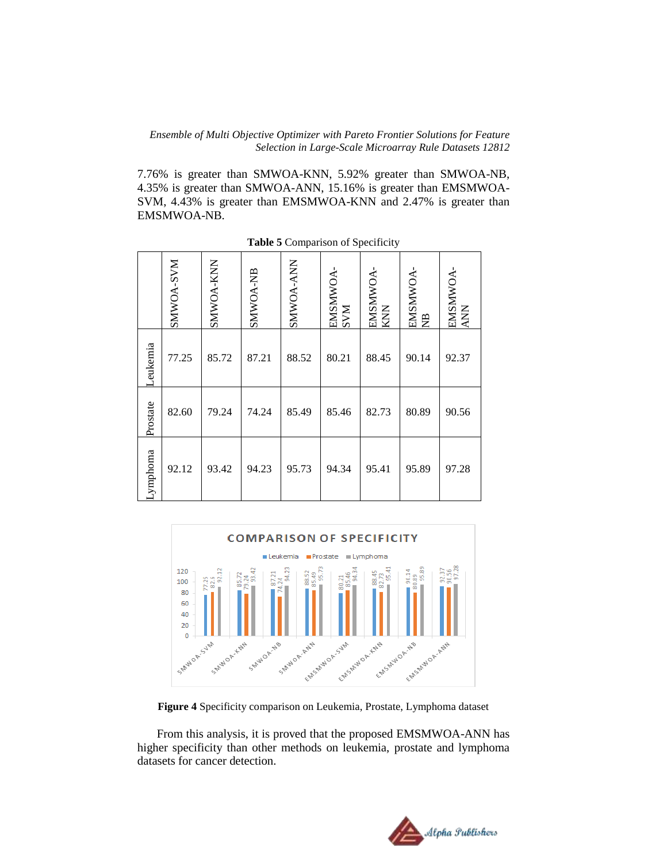7.76% is greater than SMWOA-KNN, 5.92% greater than SMWOA-NB, 4.35% is greater than SMWOA-ANN, 15.16% is greater than EMSMWOA-SVM, 4.43% is greater than EMSMWOA-KNN and 2.47% is greater than EMSMWOA-NB.

|                                                                                                                                                                                                                                                                                                                                                                                                                                                                                                                                                                          | <b>NAS-YOMMS</b> | SMWOA-KNN | <b>SMWOA-NB</b> | SMWOA-ANN | EMSMWOA-<br><b>NNS</b> | EMSMWOA-<br>KNN | EMSMWOA-<br>$\mathbb{E}$ | EMSMWOA-<br><b>ANN</b> |
|--------------------------------------------------------------------------------------------------------------------------------------------------------------------------------------------------------------------------------------------------------------------------------------------------------------------------------------------------------------------------------------------------------------------------------------------------------------------------------------------------------------------------------------------------------------------------|------------------|-----------|-----------------|-----------|------------------------|-----------------|--------------------------|------------------------|
| Leukemia                                                                                                                                                                                                                                                                                                                                                                                                                                                                                                                                                                 | 77.25            | 85.72     | 87.21           | 88.52     | 80.21                  | 88.45           | 90.14                    | 92.37                  |
| Prostate                                                                                                                                                                                                                                                                                                                                                                                                                                                                                                                                                                 | 82.60            | 79.24     | 74.24           | 85.49     | 85.46                  | 82.73           | 80.89                    | 90.56                  |
| Lymphoma                                                                                                                                                                                                                                                                                                                                                                                                                                                                                                                                                                 | 92.12            | 93.42     | 94.23           | 95.73     | 94.34                  | 95.41           | 95.89                    | 97.28                  |
| <b>COMPARISON OF SPECIFICITY</b><br>Leukemia<br>Prostate<br>Lymphoma<br>$\frac{92.37}{90.56}$<br>120<br>$\frac{88.45}{82.73}$<br>= 95.41<br>$\begin{array}{r}\n 90.14 \\ 80.89 \\ \hline\n 95.89\n \end{array}$<br>$\frac{85.72}{79.24}$<br>= 93.42<br>95.73<br>88.52<br>85.49<br>87.21<br>$77.25$<br>82.6<br>92.11<br>80.21<br>$\frac{34}{2}$<br>100<br>80<br>60<br>40<br>20<br>SMWOR-SUM<br>SAMOR-KAN<br>SMWOR-NB<br>SMWOR'ANN<br>HISWNORSJAN<br>EMSANUOR-KNH<br>EMSMUDA-NB<br>EMSAN JOR. ANY<br>Figure 4 Specificity comparison on Leukemia, Prostate, Lymphoma datas |                  |           |                 |           |                        |                 |                          |                        |
| From this analysis, it is proved that the proposed EMSMWOA-AN<br>higher specificity than other methods on leukemia, prostate and lymp<br>datasets for cancer detection.                                                                                                                                                                                                                                                                                                                                                                                                  |                  |           |                 |           |                        |                 |                          |                        |

**Table 5** Comparison of Specificity



**Figure 4** Specificity comparison on Leukemia, Prostate, Lymphoma dataset

From this analysis, it is proved that the proposed EMSMWOA-ANN has higher specificity than other methods on leukemia, prostate and lymphoma

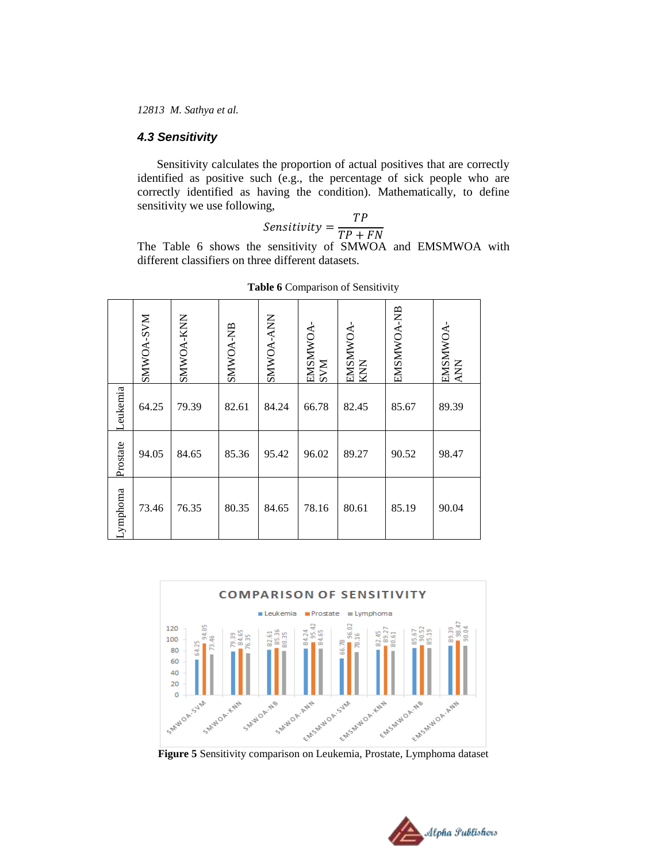## *4.3 Sensitivity*

Sensitivity calculates the proportion of actual positives that are correctly identified as positive such (e.g., the percentage of sick people who are correctly identified as having the condition). Mathematically, to define sensitivity we use following,

$$
Sensitivity = \frac{TP}{TP + FN}
$$

The Table 6 shows the sensitivity of SMWOA and EMSMWOA with different classifiers on three different datasets.

|          | NAS-VOMNS | SMWOA-KNN | <b>SMWOA-NB</b> | <b>NNA-ANNS</b> | EMSMWOA-<br>SVM | EMSMWOA-<br>KNN | EMSMWOA-NB | <b>EMSMWOA</b><br><b>ANN</b> |
|----------|-----------|-----------|-----------------|-----------------|-----------------|-----------------|------------|------------------------------|
| Leukemia | 64.25     | 79.39     | 82.61           | 84.24           | 66.78           | 82.45           | 85.67      | 89.39                        |
| Prostate | 94.05     | 84.65     | 85.36           | 95.42           | 96.02           | 89.27           | 90.52      | 98.47                        |
| Lymphoma | 73.46     | 76.35     | 80.35           | 84.65           | 78.16           | 80.61           | 85.19      | 90.04                        |

**Table 6** Comparison of Sensitivity



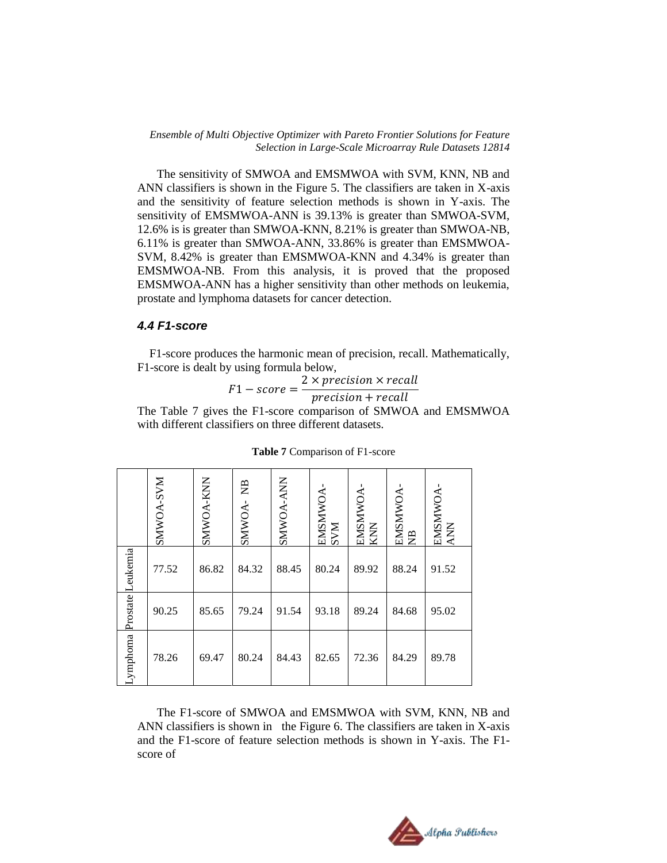The sensitivity of SMWOA and EMSMWOA with SVM, KNN, NB and ANN classifiers is shown in the Figure 5. The classifiers are taken in X-axis and the sensitivity of feature selection methods is shown in Y-axis. The sensitivity of EMSMWOA-ANN is 39.13% is greater than SMWOA-SVM, 12.6% is is greater than SMWOA-KNN, 8.21% is greater than SMWOA-NB, 6.11% is greater than SMWOA-ANN, 33.86% is greater than EMSMWOA-SVM, 8.42% is greater than EMSMWOA-KNN and 4.34% is greater than EMSMWOA-NB. From this analysis, it is proved that the proposed EMSMWOA-ANN has a higher sensitivity than other methods on leukemia, prostate and lymphoma datasets for cancer detection.

## *4.4 F1-score*

 F1-score produces the harmonic mean of precision, recall. Mathematically, F1-score is dealt by using formula below,

$$
F1-score = \frac{2 \times precision \times recall}{precision + recall}
$$

The Table 7 gives the F1-score comparison of SMWOA and EMSMWOA with different classifiers on three different datasets.

|                                                                                                                                                                                                             | <b>NAS-YONMINS</b> | SMWOA-KNN | SMWOA-NB | SMWOA-ANN | <b>A MISMADA</b><br><b>NAS</b> | EMSMWOA<br>KNN | EMSMWOA-<br>NB | EMSMWOA-<br><b>ANA</b> |
|-------------------------------------------------------------------------------------------------------------------------------------------------------------------------------------------------------------|--------------------|-----------|----------|-----------|--------------------------------|----------------|----------------|------------------------|
| Prostate Leukemia                                                                                                                                                                                           | 77.52              | 86.82     | 84.32    | 88.45     | 80.24                          | 89.92          | 88.24          | 91.52                  |
|                                                                                                                                                                                                             | 90.25              | 85.65     | 79.24    | 91.54     | 93.18                          | 89.24          | 84.68          | 95.02                  |
| ymphoma                                                                                                                                                                                                     | 78.26              | 69.47     | 80.24    | 84.43     | 82.65                          | 72.36          | 84.29          | 89.78                  |
| The F1-score of SMWOA and EMSMWOA with SVM, KNN,<br>ANN classifiers is shown in the Figure 6. The classifiers are taken in<br>and the F1-score of feature selection methods is shown in Y-axis.<br>score of |                    |           |          |           |                                |                |                |                        |

#### **Table 7** Comparison of F1-score

The F1-score of SMWOA and EMSMWOA with SVM, KNN, NB and ANN classifiers is shown in the Figure 6. The classifiers are taken in X-axis and the F1-score of feature selection methods is shown in Y-axis. The F1 score of

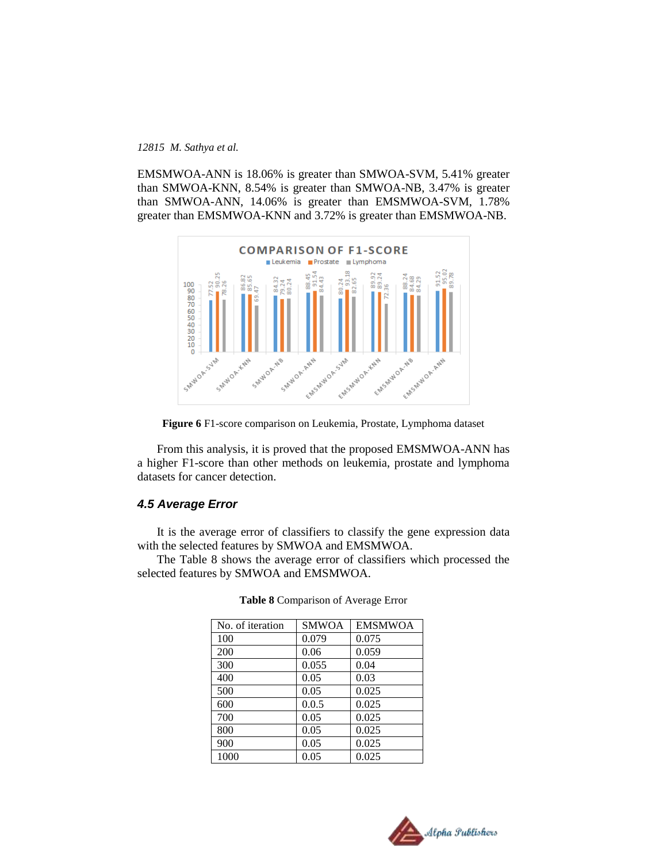EMSMWOA-ANN is 18.06% is greater than SMWOA-SVM, 5.41% greater than SMWOA-KNN, 8.54% is greater than SMWOA-NB, 3.47% is greater than SMWOA-ANN, 14.06% is greater than EMSMWOA-SVM, 1.78% greater than EMSMWOA-KNN and 3.72% is greater than EMSMWOA-NB.



**Figure 6** F1-score comparison on Leukemia, Prostate, Lymphoma dataset

From this analysis, it is proved that the proposed EMSMWOA-ANN has a higher F1-score than other methods on leukemia, prostate and lymphoma datasets for cancer detection.

## *4.5 Average Error*

It is the average error of classifiers to classify the gene expression data with the selected features by SMWOA and EMSMWOA.

The Table 8 shows the average error of classifiers which processed the selected features by SMWOA and EMSMWOA.

| No. of iteration | <b>SMWOA</b> | <b>EMSMWOA</b> |
|------------------|--------------|----------------|
| 100              | 0.079        | 0.075          |
| 200              | 0.06         | 0.059          |
| 300              | 0.055        | 0.04           |
| 400              | 0.05         | 0.03           |
| 500              | 0.05         | 0.025          |
| 600              | 0.0.5        | 0.025          |
| 700              | 0.05         | 0.025          |
| 800              | 0.05         | 0.025          |
| 900              | 0.05         | 0.025          |
| 1000             | 0.05         | 0.025          |

**Table 8** Comparison of Average Error

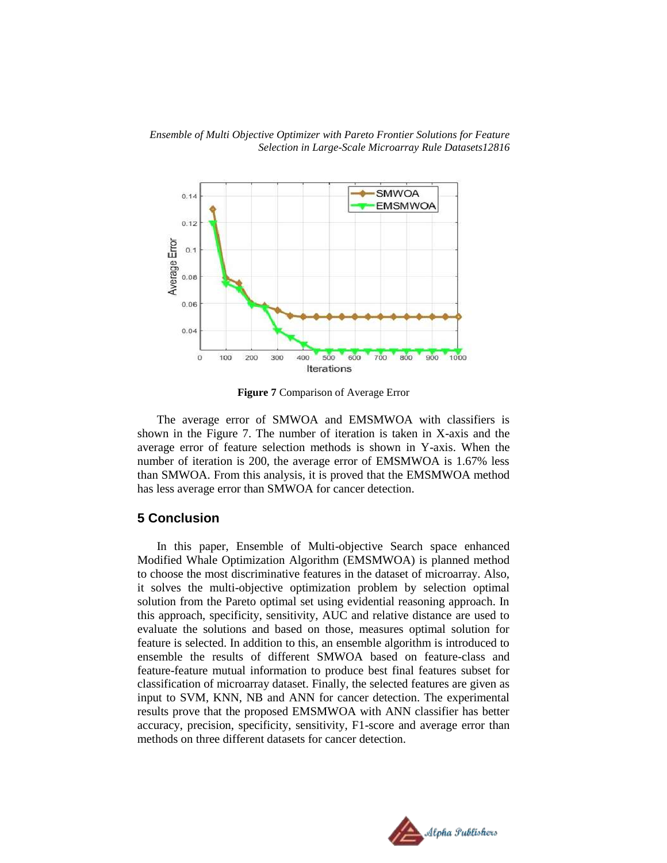



**Figure 7** Comparison of Average Error

The average error of SMWOA and EMSMWOA with classifiers is shown in the Figure 7. The number of iteration is taken in X-axis and the average error of feature selection methods is shown in Y-axis. When the number of iteration is 200, the average error of EMSMWOA is 1.67% less than SMWOA. From this analysis, it is proved that the EMSMWOA method has less average error than SMWOA for cancer detection.

## **5 Conclusion**

In this paper, Ensemble of Multi-objective Search space enhanced Modified Whale Optimization Algorithm (EMSMWOA) is planned method to choose the most discriminative features in the dataset of microarray. Also, it solves the multi-objective optimization problem by selection optimal solution from the Pareto optimal set using evidential reasoning approach. In this approach, specificity, sensitivity, AUC and relative distance are used to evaluate the solutions and based on those, measures optimal solution for feature is selected. In addition to this, an ensemble algorithm is introduced to ensemble the results of different SMWOA based on feature-class and feature-feature mutual information to produce best final features subset for classification of microarray dataset. Finally, the selected features are given as input to SVM, KNN, NB and ANN for cancer detection. The experimental results prove that the proposed EMSMWOA with ANN classifier has better accuracy, precision, specificity, sensitivity, F1-score and average error than methods on three different datasets for cancer detection.

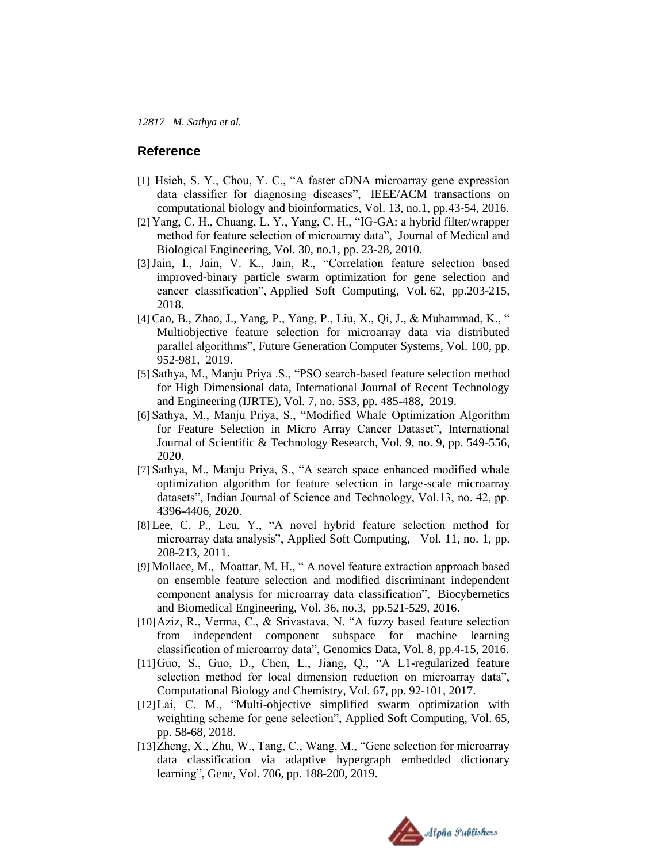## **Reference**

- [1] Hsieh, S. Y., Chou, Y. C., "A faster cDNA microarray gene expression data classifier for diagnosing diseases", IEEE/ACM transactions on computational biology and bioinformatics, Vol. 13, no.1, pp.43-54, 2016.
- [2] Yang, C. H., Chuang, L. Y., Yang, C. H., "IG-GA: a hybrid filter/wrapper method for feature selection of microarray data", Journal of Medical and Biological Engineering, Vol. 30, no.1, pp. 23-28, 2010.
- [3]Jain, I., Jain, V. K., Jain, R., "Correlation feature selection based improved-binary particle swarm optimization for gene selection and cancer classification", Applied Soft Computing, Vol. 62, pp.203-215, 2018.
- [4]Cao, B., Zhao, J., Yang, P., Yang, P., Liu, X., Qi, J., & Muhammad, K., " Multiobjective feature selection for microarray data via distributed parallel algorithms", Future Generation Computer Systems, Vol. 100, pp. 952-981, 2019.
- [5] Sathya, M., Manju Priya .S., "PSO search-based feature selection method for High Dimensional data, International Journal of Recent Technology and Engineering (IJRTE), Vol. 7, no. 5S3, pp. 485-488, 2019.
- [6] Sathya, M., Manju Priya, S., "Modified Whale Optimization Algorithm for Feature Selection in Micro Array Cancer Dataset", International Journal of Scientific & Technology Research, Vol. 9, no. 9, pp. 549-556, 2020.
- [7] Sathya, M., Manju Priya, S., "A search space enhanced modified whale optimization algorithm for feature selection in large-scale microarray datasets", Indian Journal of Science and Technology, Vol.13, no. 42, pp. 4396-4406, 2020.
- [8] Lee, C. P., Leu, Y., "A novel hybrid feature selection method for microarray data analysis", Applied Soft Computing, Vol. 11, no. 1, pp. 208-213, 2011.
- [9] Mollaee, M., Moattar, M. H., " A novel feature extraction approach based on ensemble feature selection and modified discriminant independent component analysis for microarray data classification", Biocybernetics and Biomedical Engineering, Vol. 36, no.3, pp.521-529, 2016.
- [10]Aziz, R., Verma, C., & Srivastava, N. "A fuzzy based feature selection from independent component subspace for machine learning classification of microarray data", Genomics Data, Vol. 8, pp.4-15, 2016.
- [11]Guo, S., Guo, D., Chen, L., Jiang, Q., "A L1-regularized feature selection method for local dimension reduction on microarray data", Computational Biology and Chemistry, Vol. 67, pp. 92-101, 2017.
- [12]Lai, C. M., "Multi-objective simplified swarm optimization with weighting scheme for gene selection", Applied Soft Computing, Vol. 65, pp. 58-68, 2018.
- [13]Zheng, X., Zhu, W., Tang, C., Wang, M., "Gene selection for microarray data classification via adaptive hypergraph embedded dictionary learning", Gene, Vol. 706, pp. 188-200, 2019.

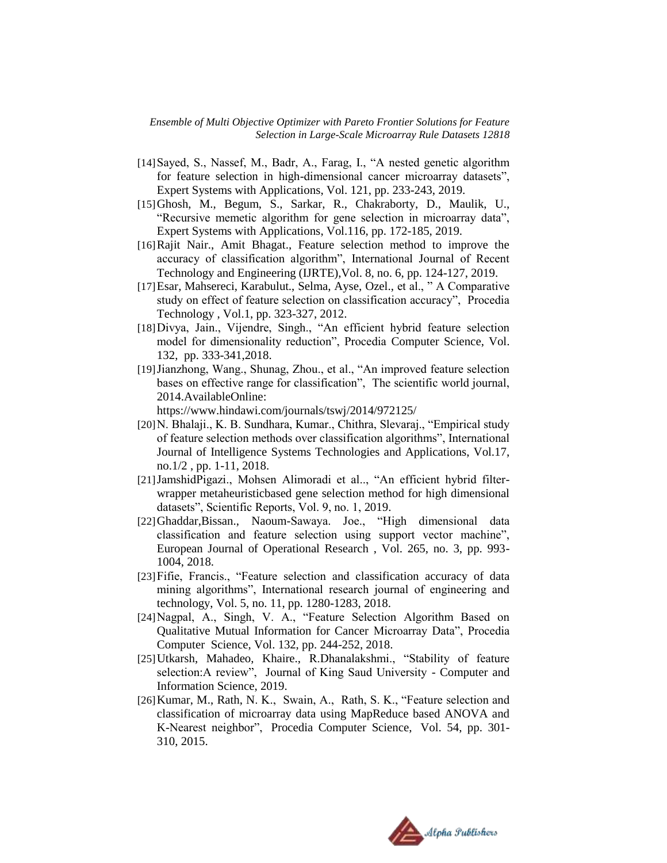- [14] Sayed, S., Nassef, M., Badr, A., Farag, I., "A nested genetic algorithm for feature selection in high-dimensional cancer microarray datasets", Expert Systems with Applications, Vol. 121, pp. 233-243, 2019.
- [15]Ghosh, M., Begum, S., Sarkar, R., Chakraborty, D., Maulik, U., "Recursive memetic algorithm for gene selection in microarray data", Expert Systems with Applications, Vol.116, pp. 172-185, 2019.
- [16]Rajit Nair., Amit Bhagat., Feature selection method to improve the accuracy of classification algorithm", International Journal of Recent Technology and Engineering (IJRTE),Vol. 8, no. 6, pp. 124-127, 2019.
- [17]Esar, Mahsereci, Karabulut., Selma, Ayse, Ozel., et al., " A Comparative study on effect of feature selection on classification accuracy", Procedia Technology , Vol.1, pp. 323-327, 2012.
- [18]Divya, Jain., Vijendre, Singh., "An efficient hybrid feature selection model for dimensionality reduction", Procedia Computer Science, Vol. 132, pp. 333-341,2018.
- [19]Jianzhong, Wang., Shunag, Zhou., et al., "An improved feature selection bases on effective range for classification", The scientific world journal, 2014.AvailableOnline:

<https://www.hindawi.com/journals/tswj/2014/972125/>

- [20]N. Bhalaji., K. B. Sundhara, Kumar., Chithra, Slevaraj., "Empirical study of feature selection methods over classification algorithms", International Journal of Intelligence Systems Technologies and Applications, Vol.17, no.1/2 , pp. 1-11, 2018.
- [21]JamshidPigazi., Mohsen Alimoradi et al.., "An efficient hybrid filterwrapper metaheuristicbased gene selection method for high dimensional datasets", Scientific Reports, Vol. 9, no. 1, 2019.
- [22]Ghaddar,Bissan., Naoum-Sawaya. Joe., "High dimensional data classification and feature selection using support vector machine", European Journal of Operational Research , Vol. 265, no. 3, pp. 993- 1004, 2018.
- [23]Fifie, Francis., "Feature selection and classification accuracy of data mining algorithms", International research journal of engineering and technology, Vol. 5, no. 11, pp. 1280-1283, 2018.
- [24]Nagpal, A., Singh, V. A., "Feature Selection Algorithm Based on Qualitative Mutual Information for Cancer Microarray Data", Procedia Computer Science, Vol. 132, pp. 244-252, 2018.
- [25] Utkarsh, Mahadeo, Khaire., R.Dhanalakshmi., "Stability of feature selection:A review", Journal of King Saud University - Computer and Information Science, 2019.
- [26] Kumar, M., Rath, N. K., Swain, A., Rath, S. K., "Feature selection and classification of microarray data using MapReduce based ANOVA and K-Nearest neighbor", Procedia Computer Science, Vol. 54, pp. 301- 310, 2015.